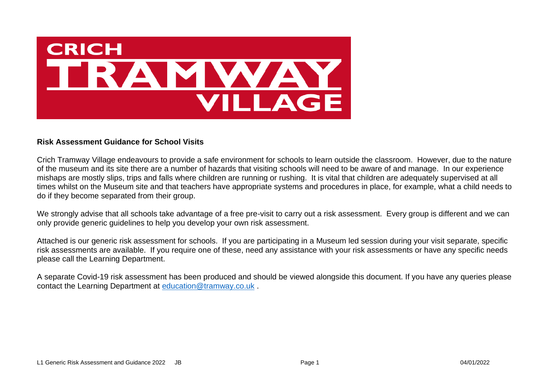

## **Risk Assessment Guidance for School Visits**

Crich Tramway Village endeavours to provide a safe environment for schools to learn outside the classroom. However, due to the nature of the museum and its site there are a number of hazards that visiting schools will need to be aware of and manage. In our experience mishaps are mostly slips, trips and falls where children are running or rushing. It is vital that children are adequately supervised at all times whilst on the Museum site and that teachers have appropriate systems and procedures in place, for example, what a child needs to do if they become separated from their group.

We strongly advise that all schools take advantage of a free pre-visit to carry out a risk assessment. Every group is different and we can only provide generic guidelines to help you develop your own risk assessment.

Attached is our generic risk assessment for schools. If you are participating in a Museum led session during your visit separate, specific risk assessments are available. If you require one of these, need any assistance with your risk assessments or have any specific needs please call the Learning Department.

A separate Covid-19 risk assessment has been produced and should be viewed alongside this document. If you have any queries please contact the Learning Department at [education@tramway.co.uk](mailto:education@tramway.co.uk) .